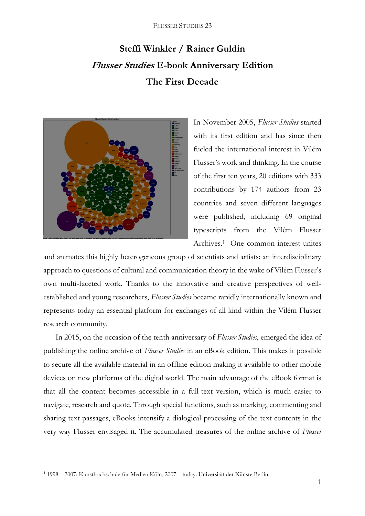## **Steffi Winkler / Rainer Guldin Flusser Studies E-book Anniversary Edition The First Decade**



In November 2005, *Flusser Studies* started with its first edition and has since then fueled the international interest in Vilém Flusser's work and thinking. In the course of the first ten years, 20 editions with 333 contributions by 174 authors from 23 countries and seven different languages were published, including 69 original typescripts from the Vilém Flusser Archives.<sup>1</sup> One common interest unites

and animates this highly heterogeneous group of scientists and artists: an interdisciplinary approach to questions of cultural and communication theory in the wake of Vilém Flusser's own multi-faceted work. Thanks to the innovative and creative perspectives of wellestablished and young researchers, *Flusser Studies* became rapidly internationally known and represents today an essential platform for exchanges of all kind within the Vilém Flusser research community.

In 2015, on the occasion of the tenth anniversary of *Flusser Studies*, emerged the idea of publishing the online archive of *Flusser Studies* in an eBook edition. This makes it possible to secure all the available material in an offline edition making it available to other mobile devices on new platforms of the digital world. The main advantage of the eBook format is that all the content becomes accessible in a full-text version, which is much easier to navigate, research and quote. Through special functions, such as marking, commenting and sharing text passages, eBooks intensify a dialogical processing of the text contents in the very way Flusser envisaged it. The accumulated treasures of the online archive of *Flusser* 

**.** 

<sup>1</sup> 1998 – 2007: Kunsthochschule für Medien Köln, 2007 – today: Universität der Künste Berlin.